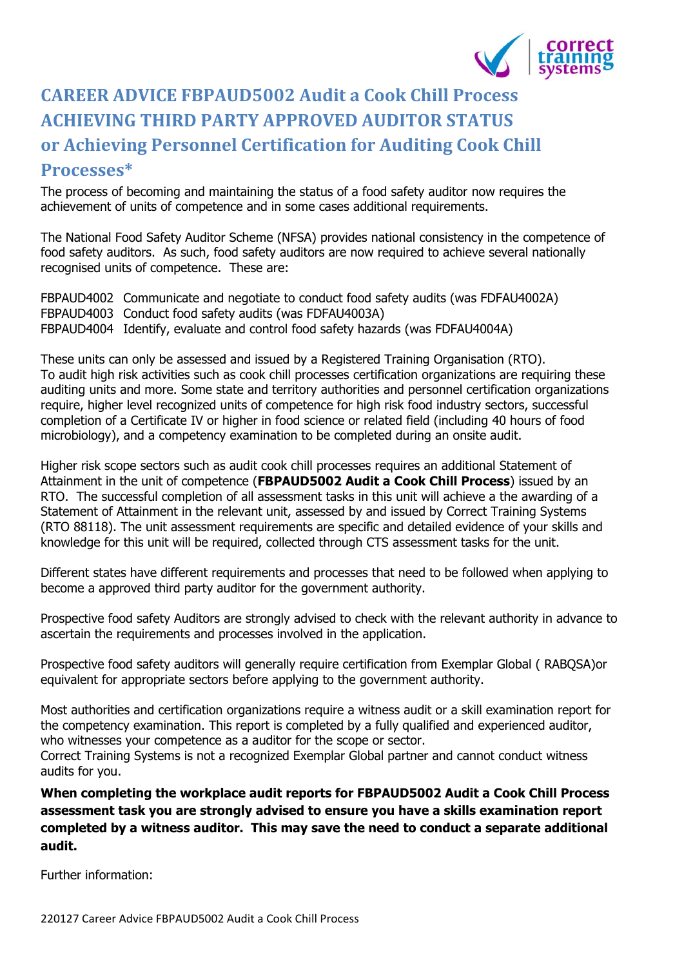

## **CAREER ADVICE FBPAUD5002 Audit a Cook Chill Process ACHIEVING THIRD PARTY APPROVED AUDITOR STATUS or Achieving Personnel Certification for Auditing Cook Chill Processes\***

The process of becoming and maintaining the status of a food safety auditor now requires the achievement of units of competence and in some cases additional requirements.

The National Food Safety Auditor Scheme (NFSA) provides national consistency in the competence of food safety auditors. As such, food safety auditors are now required to achieve several nationally recognised units of competence. These are:

FBPAUD4002 Communicate and negotiate to conduct food safety audits (was FDFAU4002A) FBPAUD4003 Conduct food safety audits (was FDFAU4003A) FBPAUD4004 Identify, evaluate and control food safety hazards (was FDFAU4004A)

These units can only be assessed and issued by a Registered Training Organisation (RTO). To audit high risk activities such as cook chill processes certification organizations are requiring these auditing units and more. Some state and territory authorities and personnel certification organizations require, higher level recognized units of competence for high risk food industry sectors, successful completion of a Certificate IV or higher in food science or related field (including 40 hours of food microbiology), and a competency examination to be completed during an onsite audit.

Higher risk scope sectors such as audit cook chill processes requires an additional Statement of Attainment in the unit of competence (**FBPAUD5002 Audit a Cook Chill Process**) issued by an RTO. The successful completion of all assessment tasks in this unit will achieve a the awarding of a Statement of Attainment in the relevant unit, assessed by and issued by Correct Training Systems (RTO 88118). The unit assessment requirements are specific and detailed evidence of your skills and knowledge for this unit will be required, collected through CTS assessment tasks for the unit.

Different states have different requirements and processes that need to be followed when applying to become a approved third party auditor for the government authority.

Prospective food safety Auditors are strongly advised to check with the relevant authority in advance to ascertain the requirements and processes involved in the application.

Prospective food safety auditors will generally require certification from Exemplar Global ( RABQSA)or equivalent for appropriate sectors before applying to the government authority.

Most authorities and certification organizations require a witness audit or a skill examination report for the competency examination. This report is completed by a fully qualified and experienced auditor, who witnesses your competence as a auditor for the scope or sector.

Correct Training Systems is not a recognized Exemplar Global partner and cannot conduct witness audits for you.

**When completing the workplace audit reports for FBPAUD5002 Audit a Cook Chill Process assessment task you are strongly advised to ensure you have a skills examination report completed by a witness auditor. This may save the need to conduct a separate additional audit.**

Further information: